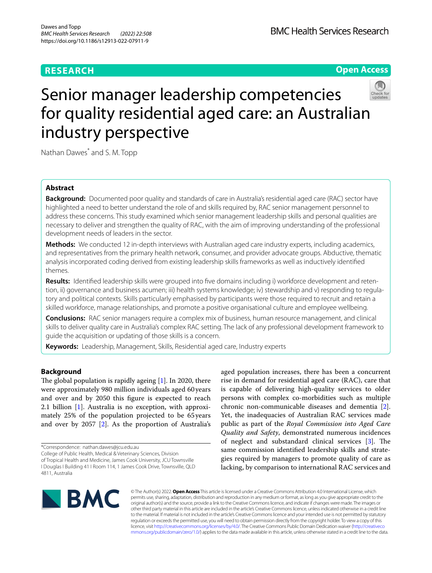# **RESEARCH**



# Senior manager leadership competencies for quality residential aged care: an Australian industry perspective

Nathan Dawes<sup>\*</sup> and S. M. Topp

# **Abstract**

**Background:** Documented poor quality and standards of care in Australia's residential aged care (RAC) sector have highlighted a need to better understand the role of and skills required by, RAC senior management personnel to address these concerns. This study examined which senior management leadership skills and personal qualities are necessary to deliver and strengthen the quality of RAC, with the aim of improving understanding of the professional development needs of leaders in the sector.

**Methods:** We conducted 12 in-depth interviews with Australian aged care industry experts, including academics, and representatives from the primary health network, consumer, and provider advocate groups. Abductive, thematic analysis incorporated coding derived from existing leadership skills frameworks as well as inductively identifed themes.

**Results:** Identifed leadership skills were grouped into fve domains including i) workforce development and retention, ii) governance and business acumen; iii) health systems knowledge; iv) stewardship and v) responding to regulatory and political contexts. Skills particularly emphasised by participants were those required to recruit and retain a skilled workforce, manage relationships, and promote a positive organisational culture and employee wellbeing.

**Conclusions:** RAC senior managers require a complex mix of business, human resource management, and clinical skills to deliver quality care in Australia's complex RAC setting. The lack of any professional development framework to guide the acquisition or updating of those skills is a concern.

**Keywords:** Leadership, Management, Skills, Residential aged care, Industry experts

# **Background**

The global population is rapidly ageing  $[1]$  $[1]$ . In 2020, there were approximately 980 million individuals aged 60years and over and by 2050 this fgure is expected to reach 2.1 billion [\[1](#page-8-0)]. Australia is no exception, with approximately 25% of the population projected to be 65years and over by 2057 [[2\]](#page-8-1). As the proportion of Australia's

\*Correspondence: nathan.dawes@jcu.edu.au

College of Public Health, Medical & Veterinary Sciences, Division of Tropical Health and Medicine, James Cook University, JCU Townsville I Douglas I Building 41 I Room 114, 1 James Cook Drive, Townsville, QLD 4811, Australia

aged population increases, there has been a concurrent rise in demand for residential aged care (RAC), care that is capable of delivering high-quality services to older persons with complex co-morbidities such as multiple chronic non-communicable diseases and dementia [\[2](#page-8-1)]. Yet, the inadequacies of Australian RAC services made public as part of the *Royal Commission into Aged Care Quality and Safety*, demonstrated numerous incidences of neglect and substandard clinical services  $[3]$  $[3]$ . The same commission identifed leadership skills and strategies required by managers to promote quality of care as lacking, by comparison to international RAC services and



© The Author(s) 2022. **Open Access** This article is licensed under a Creative Commons Attribution 4.0 International License, which permits use, sharing, adaptation, distribution and reproduction in any medium or format, as long as you give appropriate credit to the original author(s) and the source, provide a link to the Creative Commons licence, and indicate if changes were made. The images or other third party material in this article are included in the article's Creative Commons licence, unless indicated otherwise in a credit line to the material. If material is not included in the article's Creative Commons licence and your intended use is not permitted by statutory regulation or exceeds the permitted use, you will need to obtain permission directly from the copyright holder. To view a copy of this licence, visit [http://creativecommons.org/licenses/by/4.0/.](http://creativecommons.org/licenses/by/4.0/) The Creative Commons Public Domain Dedication waiver ([http://creativeco](http://creativecommons.org/publicdomain/zero/1.0/) [mmons.org/publicdomain/zero/1.0/](http://creativecommons.org/publicdomain/zero/1.0/)) applies to the data made available in this article, unless otherwise stated in a credit line to the data.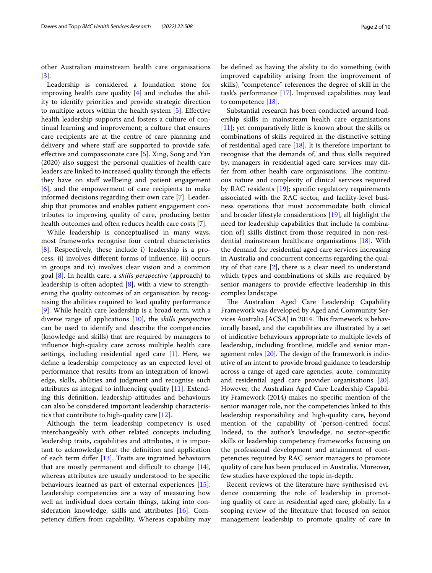other Australian mainstream health care organisations [[3\]](#page-8-2).

Leadership is considered a foundation stone for improving health care quality  $[4]$  $[4]$  and includes the ability to identify priorities and provide strategic direction to multiple actors within the health system [[5\]](#page-8-4). Efective health leadership supports and fosters a culture of continual learning and improvement; a culture that ensures care recipients are at the centre of care planning and delivery and where staff are supported to provide safe, efective and compassionate care [[5\]](#page-8-4). Xing, Song and Yan (2020) also suggest the personal qualities of health care leaders are linked to increased quality through the efects they have on staff wellbeing and patient engagement [[6\]](#page-8-5), and the empowerment of care recipients to make informed decisions regarding their own care [[7\]](#page-8-6). Leadership that promotes and enables patient engagement contributes to improving quality of care, producing better health outcomes and often reduces health care costs [[7\]](#page-8-6).

While leadership is conceptualised in many ways, most frameworks recognise four central characteristics [[8\]](#page-8-7). Respectively, these include i) leadership is a process, ii) involves diferent forms of infuence, iii) occurs in groups and iv) involves clear vision and a common goal [[8\]](#page-8-7). In health care, a *skills perspective* (approach) to leadership is often adopted [\[8](#page-8-7)], with a view to strengthening the quality outcomes of an organisation by recognising the abilities required to lead quality performance [[9\]](#page-8-8). While health care leadership is a broad term, with a diverse range of applications [\[10](#page-8-9)], the *skills perspective* can be used to identify and describe the competencies (knowledge and skills) that are required by managers to infuence high-quality care across multiple health care settings, including residential aged care [\[1](#page-8-0)]. Here, we defne a leadership competency as an expected level of performance that results from an integration of knowledge, skills, abilities and judgment and recognise such attributes as integral to infuencing quality [[11\]](#page-8-10). Extending this defnition, leadership attitudes and behaviours can also be considered important leadership characteristics that contribute to high-quality care [\[12\]](#page-8-11).

Although the term leadership competency is used interchangeably with other related concepts including leadership traits, capabilities and attributes, it is important to acknowledge that the defnition and application of each term difer [[13](#page-8-12)]. Traits are ingrained behaviours that are mostly permanent and difficult to change  $[14]$  $[14]$ , whereas attributes are usually understood to be specifc behaviours learned as part of external experiences [\[15](#page-8-14)]. Leadership competencies are a way of measuring how well an individual does certain things, taking into consideration knowledge, skills and attributes [[16](#page-8-15)]. Competency difers from capability. Whereas capability may be defned as having the ability to do something (with improved capability arising from the improvement of skills), "competence" references the degree of skill in the task's performance [\[17](#page-8-16)]. Improved capabilities may lead to competence [\[18](#page-8-17)].

Substantial research has been conducted around leadership skills in mainstream health care organisations [[11\]](#page-8-10); yet comparatively little is known about the skills or combinations of skills required in the distinctive setting of residential aged care  $[18]$  $[18]$ . It is therefore important to recognise that the demands of, and thus skills required by, managers in residential aged care services may differ from other health care organisations. The continuous nature and complexity of clinical services required by RAC residents [[19\]](#page-8-18); specifc regulatory requirements associated with the RAC sector, and facility-level business operations that must accommodate both clinical and broader lifestyle considerations [\[19](#page-8-18)], all highlight the need for leadership capabilities that include (a combination of) skills distinct from those required in non-residential mainstream healthcare organisations [\[18](#page-8-17)]. With the demand for residential aged care services increasing in Australia and concurrent concerns regarding the quality of that care [[2\]](#page-8-1), there is a clear need to understand which types and combinations of skills are required by senior managers to provide efective leadership in this complex landscape.

The Australian Aged Care Leadership Capability Framework was developed by Aged and Community Services Australia [ACSA] in 2014. This framework is behaviorally based, and the capabilities are illustrated by a set of indicative behaviours appropriate to multiple levels of leadership, including frontline, middle and senior management roles  $[20]$  $[20]$  $[20]$ . The design of the framework is indicative of an intent to provide broad guidance to leadership across a range of aged care agencies, acute, community and residential aged care provider organisations [\[20](#page-8-19)]. However, the Australian Aged Care Leadership Capability Framework (2014) makes no specifc mention of the senior manager role, nor the competencies linked to this leadership responsibility and high-quality care, beyond mention of the capability of 'person-centred focus'. Indeed, to the author's knowledge, no sector-specifc skills or leadership competency frameworks focusing on the professional development and attainment of competencies required by RAC senior managers to promote quality of care has been produced in Australia. Moreover, few studies have explored the topic in-depth.

Recent reviews of the literature have synthesised evidence concerning the role of leadership in promoting quality of care in residential aged care, globally. In a scoping review of the literature that focused on senior management leadership to promote quality of care in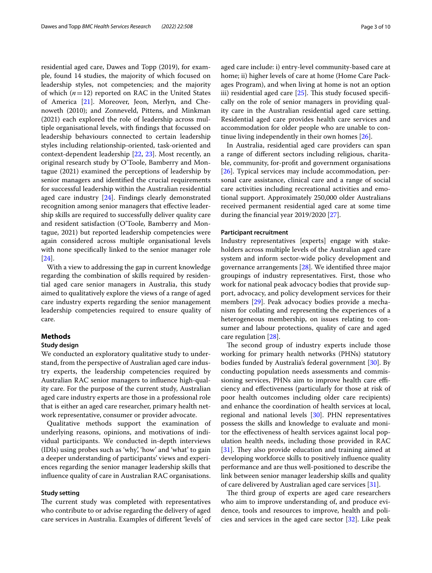residential aged care, Dawes and Topp (2019), for example, found 14 studies, the majority of which focused on leadership styles, not competencies; and the majority of which (*n*=12) reported on RAC in the United States of America [\[21\]](#page-9-0). Moreover, Jeon, Merlyn, and Chenoweth (2010); and Zonneveld, Pittens, and Minkman (2021) each explored the role of leadership across multiple organisational levels, with fndings that focussed on leadership behaviours connected to certain leadership styles including relationship-oriented, task-oriented and context-dependent leadership [\[22](#page-9-1), [23](#page-9-2)]. Most recently, an original research study by O'Toole, Bamberry and Montague (2021) examined the perceptions of leadership by senior managers and identifed the crucial requirements for successful leadership within the Australian residential aged care industry [[24](#page-9-3)]. Findings clearly demonstrated recognition among senior managers that efective leadership skills are required to successfully deliver quality care and resident satisfaction (O'Toole, Bamberry and Montague, 2021) but reported leadership competencies were again considered across multiple organisational levels with none specifcally linked to the senior manager role [[24\]](#page-9-3).

With a view to addressing the gap in current knowledge regarding the combination of skills required by residential aged care senior managers in Australia, this study aimed to qualitatively explore the views of a range of aged care industry experts regarding the senior management leadership competencies required to ensure quality of care.

## **Methods**

## **Study design**

We conducted an exploratory qualitative study to understand, from the perspective of Australian aged care industry experts, the leadership competencies required by Australian RAC senior managers to infuence high-quality care. For the purpose of the current study, Australian aged care industry experts are those in a professional role that is either an aged care researcher, primary health network representative, consumer or provider advocate.

Qualitative methods support the examination of underlying reasons, opinions, and motivations of individual participants. We conducted in-depth interviews (IDIs) using probes such as 'why', 'how' and 'what' to gain a deeper understanding of participants' views and experiences regarding the senior manager leadership skills that infuence quality of care in Australian RAC organisations.

# **Study setting**

The current study was completed with representatives who contribute to or advise regarding the delivery of aged care services in Australia. Examples of diferent 'levels' of aged care include: i) entry-level community-based care at home; ii) higher levels of care at home (Home Care Packages Program), and when living at home is not an option iii) residential aged care  $[25]$  $[25]$ . This study focused specifically on the role of senior managers in providing quality care in the Australian residential aged care setting. Residential aged care provides health care services and accommodation for older people who are unable to continue living independently in their own homes [\[26](#page-9-5)].

In Australia, residential aged care providers can span a range of diferent sectors including religious, charitable, community, for-proft and government organisations [[26\]](#page-9-5). Typical services may include accommodation, personal care assistance, clinical care and a range of social care activities including recreational activities and emotional support. Approximately 250,000 older Australians received permanent residential aged care at some time during the fnancial year 2019/2020 [[27\]](#page-9-6).

## **Participant recruitment**

Industry representatives [experts] engage with stakeholders across multiple levels of the Australian aged care system and inform sector-wide policy development and governance arrangements [[28\]](#page-9-7). We identifed three major groupings of industry representatives. First, those who work for national peak advocacy bodies that provide support, advocacy, and policy development services for their members [\[29\]](#page-9-8). Peak advocacy bodies provide a mechanism for collating and representing the experiences of a heterogeneous membership, on issues relating to consumer and labour protections, quality of care and aged care regulation [\[28](#page-9-7)].

The second group of industry experts include those working for primary health networks (PHNs) statutory bodies funded by Australia's federal government [\[30\]](#page-9-9). By conducting population needs assessments and commissioning services, PHNs aim to improve health care efficiency and efectiveness (particularly for those at risk of poor health outcomes including older care recipients) and enhance the coordination of health services at local, regional and national levels [\[30](#page-9-9)]. PHN representatives possess the skills and knowledge to evaluate and monitor the efectiveness of health services against local population health needs, including those provided in RAC  $[31]$  $[31]$ . They also provide education and training aimed at developing workforce skills to positively infuence quality performance and are thus well-positioned to describe the link between senior manager leadership skills and quality of care delivered by Australian aged care services [[31](#page-9-10)].

The third group of experts are aged care researchers who aim to improve understanding of, and produce evidence, tools and resources to improve, health and policies and services in the aged care sector [[32\]](#page-9-11). Like peak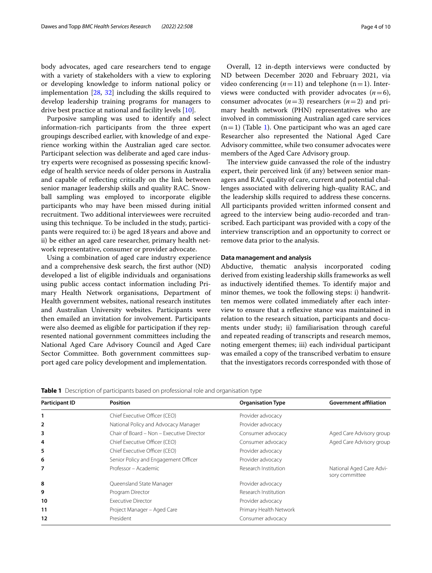body advocates, aged care researchers tend to engage with a variety of stakeholders with a view to exploring or developing knowledge to inform national policy or implementation [[28,](#page-9-7) [32](#page-9-11)] including the skills required to develop leadership training programs for managers to drive best practice at national and facility levels [[10\]](#page-8-9).

Purposive sampling was used to identify and select information-rich participants from the three expert groupings described earlier, with knowledge of and experience working within the Australian aged care sector. Participant selection was deliberate and aged care industry experts were recognised as possessing specifc knowledge of health service needs of older persons in Australia and capable of refecting critically on the link between senior manager leadership skills and quality RAC. Snowball sampling was employed to incorporate eligible participants who may have been missed during initial recruitment. Two additional interviewees were recruited using this technique. To be included in the study, participants were required to: i) be aged 18 years and above and ii) be either an aged care researcher, primary health network representative, consumer or provider advocate.

Using a combination of aged care industry experience and a comprehensive desk search, the frst author (ND) developed a list of eligible individuals and organisations using public access contact information including Primary Health Network organisations, Department of Health government websites, national research institutes and Australian University websites. Participants were then emailed an invitation for involvement. Participants were also deemed as eligible for participation if they represented national government committees including the National Aged Care Advisory Council and Aged Care Sector Committee. Both government committees support aged care policy development and implementation.

Overall, 12 in-depth interviews were conducted by ND between December 2020 and February 2021, via video conferencing  $(n=11)$  and telephone  $(n=1)$ . Interviews were conducted with provider advocates  $(n=6)$ , consumer advocates  $(n=3)$  researchers  $(n=2)$  and primary health network (PHN) representatives who are involved in commissioning Australian aged care services  $(n=1)$  $(n=1)$  (Table 1). One participant who was an aged care Researcher also represented the National Aged Care Advisory committee, while two consumer advocates were members of the Aged Care Advisory group.

The interview guide canvassed the role of the industry expert, their perceived link (if any) between senior managers and RAC quality of care, current and potential challenges associated with delivering high-quality RAC, and the leadership skills required to address these concerns. All participants provided written informed consent and agreed to the interview being audio-recorded and transcribed. Each participant was provided with a copy of the interview transcription and an opportunity to correct or remove data prior to the analysis.

## **Data management and analysis**

Abductive, thematic analysis incorporated coding derived from existing leadership skills frameworks as well as inductively identifed themes. To identify major and minor themes, we took the following steps: i) handwritten memos were collated immediately after each interview to ensure that a refexive stance was maintained in relation to the research situation, participants and documents under study; ii) familiarisation through careful and repeated reading of transcripts and research memos, noting emergent themes; iii) each individual participant was emailed a copy of the transcribed verbatim to ensure that the investigators records corresponded with those of

<span id="page-3-0"></span>**Table 1** Description of participants based on professional role and organisation type

| <b>Participant ID</b> | <b>Position</b>                           | <b>Organisation Type</b> | <b>Government affiliation</b>              |
|-----------------------|-------------------------------------------|--------------------------|--------------------------------------------|
| 1                     | Chief Executive Officer (CEO)             | Provider advocacy        |                                            |
| $\overline{2}$        | National Policy and Advocacy Manager      | Provider advocacy        |                                            |
| 3                     | Chair of Board - Non - Executive Director | Consumer advocacy        | Aged Care Advisory group                   |
| 4                     | Chief Executive Officer (CEO)             | Consumer advocacy        | Aged Care Advisory group                   |
| 5                     | Chief Executive Officer (CEO)             | Provider advocacy        |                                            |
| 6                     | Senior Policy and Engagement Officer      | Provider advocacy        |                                            |
| 7                     | Professor – Academic                      | Research Institution     | National Aged Care Advi-<br>sory committee |
| 8                     | Queensland State Manager                  | Provider advocacy        |                                            |
| 9                     | Program Director                          | Research Institution     |                                            |
| 10                    | <b>Executive Director</b>                 | Provider advocacy        |                                            |
| 11                    | Project Manager - Aged Care               | Primary Health Network   |                                            |
| 12                    | President                                 | Consumer advocacy        |                                            |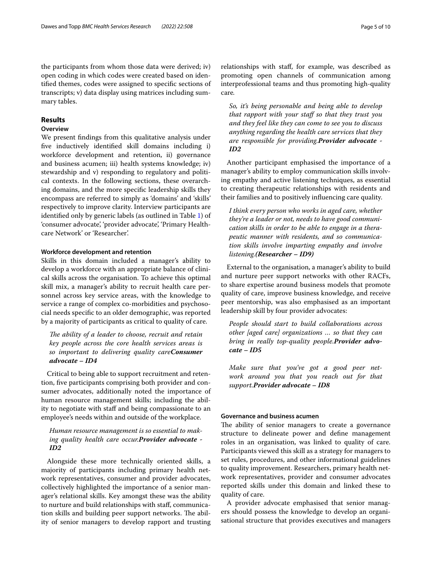the participants from whom those data were derived; iv) open coding in which codes were created based on identifed themes, codes were assigned to specifc sections of transcripts; v) data display using matrices including summary tables.

# **Results**

# **Overview**

We present fndings from this qualitative analysis under fve inductively identifed skill domains including i) workforce development and retention, ii) governance and business acumen; iii) health systems knowledge; iv) stewardship and v) responding to regulatory and political contexts. In the following sections, these overarching domains, and the more specifc leadership skills they encompass are referred to simply as 'domains' and 'skills' respectively to improve clarity. Interview participants are identifed only by generic labels (as outlined in Table [1](#page-3-0)) of 'consumer advocate', 'provider advocate', 'Primary Healthcare Network' or 'Researcher'.

## **Workforce development and retention**

Skills in this domain included a manager's ability to develop a workforce with an appropriate balance of clinical skills across the organisation. To achieve this optimal skill mix, a manager's ability to recruit health care personnel across key service areas, with the knowledge to service a range of complex co-morbidities and psychosocial needs specifc to an older demographic, was reported by a majority of participants as critical to quality of care.

The ability of a leader to choose, recruit and retain *key people across the core health services areas is so important to delivering quality careConsumer advocate – ID4*

Critical to being able to support recruitment and retention, fve participants comprising both provider and consumer advocates, additionally noted the importance of human resource management skills; including the ability to negotiate with staff and being compassionate to an employee's needs within and outside of the workplace.

# *Human resource management is so essential to making quality health care occur.Provider advocate - ID2*

Alongside these more technically oriented skills, a majority of participants including primary health network representatives, consumer and provider advocates, collectively highlighted the importance of a senior manager's relational skills. Key amongst these was the ability to nurture and build relationships with staf, communication skills and building peer support networks. The ability of senior managers to develop rapport and trusting

relationships with staf, for example, was described as promoting open channels of communication among interprofessional teams and thus promoting high-quality care*.*

*So, it's being personable and being able to develop that rapport with your staf so that they trust you and they feel like they can come to see you to discuss anything regarding the health care services that they are responsible for providing.Provider advocate - ID2*

Another participant emphasised the importance of a manager's ability to employ communication skills involving empathy and active listening techniques, as essential to creating therapeutic relationships with residents and their families and to positively infuencing care quality.

*I think every person who works in aged care, whether they're a leader or not, needs to have good communication skills in order to be able to engage in a therapeutic manner with residents, and so communication skills involve imparting empathy and involve listening.(Researcher – ID9)*

External to the organisation, a manager's ability to build and nurture peer support networks with other RACFs, to share expertise around business models that promote quality of care, improve business knowledge, and receive peer mentorship, was also emphasised as an important leadership skill by four provider advocates:

*People should start to build collaborations across other [aged care] organizations … so that they can bring in really top-quality people.Provider advocate – ID5*

*Make sure that you've got a good peer network around you that you reach out for that support.Provider advocate – ID8*

## **Governance and business acumen**

The ability of senior managers to create a governance structure to delineate power and defne management roles in an organisation, was linked to quality of care. Participants viewed this skill as a strategy for managers to set rules, procedures, and other informational guidelines to quality improvement. Researchers, primary health network representatives, provider and consumer advocates reported skills under this domain and linked these to quality of care.

A provider advocate emphasised that senior managers should possess the knowledge to develop an organisational structure that provides executives and managers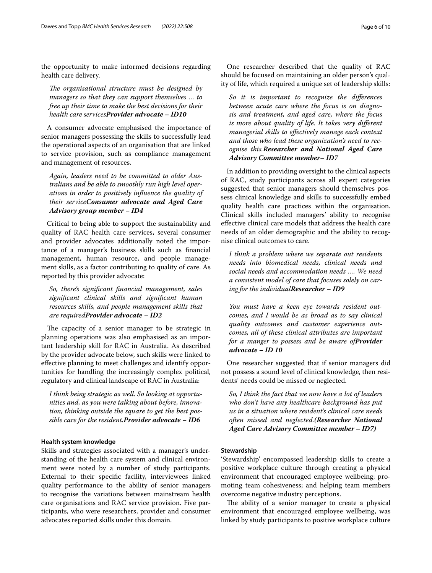the opportunity to make informed decisions regarding health care delivery.

The organisational structure must be designed by *managers so that they can support themselves … to free up their time to make the best decisions for their health care servicesProvider advocate – ID10*

A consumer advocate emphasised the importance of senior managers possessing the skills to successfully lead the operational aspects of an organisation that are linked to service provision, such as compliance management and management of resources.

*Again, leaders need to be committed to older Australians and be able to smoothly run high level operations in order to positively infuence the quality of their serviceConsumer advocate and Aged Care Advisory group member – ID4*

Critical to being able to support the sustainability and quality of RAC health care services, several consumer and provider advocates additionally noted the importance of a manager's business skills such as fnancial management, human resource, and people management skills, as a factor contributing to quality of care. As reported by this provider advocate:

*So, there's signifcant fnancial management, sales signifcant clinical skills and signifcant human resources skills, and people management skills that are requiredProvider advocate – ID2*

The capacity of a senior manager to be strategic in planning operations was also emphasised as an important leadership skill for RAC in Australia. As described by the provider advocate below, such skills were linked to efective planning to meet challenges and identify opportunities for handling the increasingly complex political, regulatory and clinical landscape of RAC in Australia:

*I think being strategic as well. So looking at opportunities and, as you were talking about before, innovation, thinking outside the square to get the best possible care for the resident.Provider advocate – ID6*

## **Health system knowledge**

Skills and strategies associated with a manager's understanding of the health care system and clinical environment were noted by a number of study participants. External to their specifc facility, interviewees linked quality performance to the ability of senior managers to recognise the variations between mainstream health care organisations and RAC service provision. Five participants, who were researchers, provider and consumer advocates reported skills under this domain.

One researcher described that the quality of RAC should be focused on maintaining an older person's quality of life, which required a unique set of leadership skills:

*So it is important to recognize the diferences between acute care where the focus is on diagnosis and treatment, and aged care, where the focus is more about quality of life. It takes very diferent managerial skills to efectively manage each context and those who lead these organization's need to recognise this.Researcher and National Aged Care Advisory Committee member– ID7*

In addition to providing oversight to the clinical aspects of RAC, study participants across all expert categories suggested that senior managers should themselves possess clinical knowledge and skills to successfully embed quality health care practices within the organisation. Clinical skills included managers' ability to recognise efective clinical care models that address the health care needs of an older demographic and the ability to recognise clinical outcomes to care.

*I think a problem where we separate out residents needs into biomedical needs, clinical needs and social needs and accommodation needs …. We need a consistent model of care that focuses solely on caring for the individualResearcher – ID9*

*You must have a keen eye towards resident outcomes, and I would be as broad as to say clinical quality outcomes and customer experience outcomes, all of these clinical attributes are important for a manger to possess and be aware ofProvider advocate – ID 10*

One researcher suggested that if senior managers did not possess a sound level of clinical knowledge, then residents' needs could be missed or neglected.

*So, I think the fact that we now have a lot of leaders who don't have any healthcare background has put us in a situation where resident's clinical care needs often missed and neglected.(Researcher National Aged Care Advisory Committee member – ID7)*

## **Stewardship**

'Stewardship' encompassed leadership skills to create a positive workplace culture through creating a physical environment that encouraged employee wellbeing; promoting team cohesiveness; and helping team members overcome negative industry perceptions.

The ability of a senior manager to create a physical environment that encouraged employee wellbeing, was linked by study participants to positive workplace culture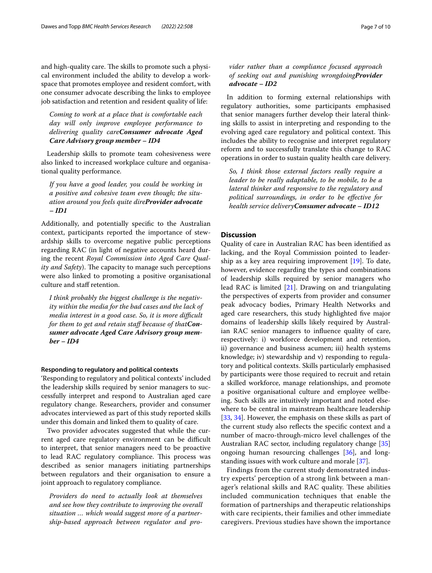and high-quality care. The skills to promote such a physical environment included the ability to develop a workspace that promotes employee and resident comfort, with one consumer advocate describing the links to employee job satisfaction and retention and resident quality of life:

*Coming to work at a place that is comfortable each day will only improve employee performance to delivering quality careConsumer advocate Aged Care Advisory group member – ID4*

Leadership skills to promote team cohesiveness were also linked to increased workplace culture and organisational quality performance.

*If you have a good leader, you could be working in a positive and cohesive team even though; the situation around you feels quite direProvider advocate – ID1*

Additionally, and potentially specifc to the Australian context, participants reported the importance of stewardship skills to overcome negative public perceptions regarding RAC (in light of negative accounts heard during the recent *Royal Commission into Aged Care Quality and Safety*). The capacity to manage such perceptions were also linked to promoting a positive organisational culture and staff retention.

*I think probably the biggest challenge is the negativity within the media for the bad cases and the lack of media interest in a good case. So, it is more difcult for them to get and retain staf because of thatConsumer advocate Aged Care Advisory group member – ID4*

## **Responding to regulatory and political contexts**

'Responding to regulatory and political contexts' included the leadership skills required by senior managers to successfully interpret and respond to Australian aged care regulatory change. Researchers, provider and consumer advocates interviewed as part of this study reported skills under this domain and linked them to quality of care.

Two provider advocates suggested that while the current aged care regulatory environment can be difficult to interpret, that senior managers need to be proactive to lead RAC regulatory compliance. This process was described as senior managers initiating partnerships between regulators and their organisation to ensure a joint approach to regulatory compliance.

*Providers do need to actually look at themselves and see how they contribute to improving the overall situation … which would suggest more of a partnership-based approach between regulator and pro-*

# *vider rather than a compliance focused approach of seeking out and punishing wrongdoingProvider advocate – ID2*

In addition to forming external relationships with regulatory authorities, some participants emphasised that senior managers further develop their lateral thinking skills to assist in interpreting and responding to the evolving aged care regulatory and political context. This includes the ability to recognise and interpret regulatory reform and to successfully translate this change to RAC operations in order to sustain quality health care delivery.

*So, I think those external factors really require a leader to be really adaptable, to be mobile, to be a lateral thinker and responsive to the regulatory and political surroundings, in order to be efective for health service deliveryConsumer advocate – ID12*

## **Discussion**

Quality of care in Australian RAC has been identifed as lacking, and the Royal Commission pointed to leadership as a key area requiring improvement [\[19](#page-8-18)]. To date, however, evidence regarding the types and combinations of leadership skills required by senior managers who lead RAC is limited [[21\]](#page-9-0). Drawing on and triangulating the perspectives of experts from provider and consumer peak advocacy bodies, Primary Health Networks and aged care researchers, this study highlighted fve major domains of leadership skills likely required by Australian RAC senior managers to infuence quality of care, respectively: i) workforce development and retention, ii) governance and business acumen; iii) health systems knowledge; iv) stewardship and v) responding to regulatory and political contexts. Skills particularly emphasised by participants were those required to recruit and retain a skilled workforce, manage relationships, and promote a positive organisational culture and employee wellbeing. Such skills are intuitively important and noted elsewhere to be central in mainstream healthcare leadership [[33,](#page-9-12) [34\]](#page-9-13). However, the emphasis on these skills as part of the current study also reflects the specific context and a number of macro-through-micro level challenges of the Australian RAC sector, including regulatory change [[35](#page-9-14)] ongoing human resourcing challenges [\[36](#page-9-15)], and longstanding issues with work culture and morale [[37\]](#page-9-16).

Findings from the current study demonstrated industry experts' perception of a strong link between a manager's relational skills and RAC quality. These abilities included communication techniques that enable the formation of partnerships and therapeutic relationships with care recipients, their families and other immediate caregivers. Previous studies have shown the importance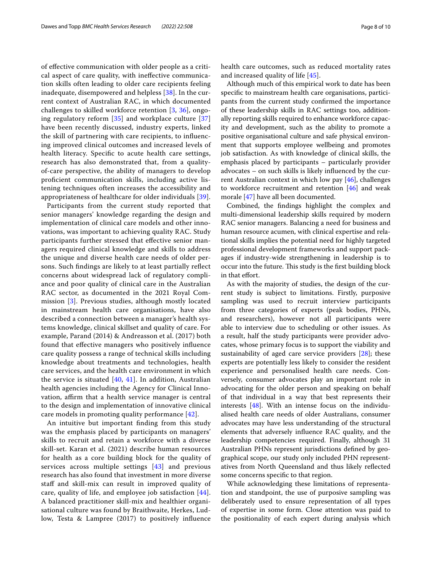of efective communication with older people as a critical aspect of care quality, with inefective communication skills often leading to older care recipients feeling inadequate, disempowered and helpless [\[38](#page-9-17)]. In the current context of Australian RAC, in which documented challenges to skilled workforce retention [[3,](#page-8-2) [36](#page-9-15)], ongoing regulatory reform [[35](#page-9-14)] and workplace culture [\[37](#page-9-16)] have been recently discussed, industry experts, linked the skill of partnering with care recipients, to infuencing improved clinical outcomes and increased levels of health literacy. Specifc to acute health care settings, research has also demonstrated that, from a qualityof-care perspective, the ability of managers to develop profcient communication skills, including active listening techniques often increases the accessibility and appropriateness of healthcare for older individuals [[39\]](#page-9-18).

Participants from the current study reported that senior managers' knowledge regarding the design and implementation of clinical care models and other innovations, was important to achieving quality RAC. Study participants further stressed that efective senior managers required clinical knowledge and skills to address the unique and diverse health care needs of older persons. Such fndings are likely to at least partially refect concerns about widespread lack of regulatory compliance and poor quality of clinical care in the Australian RAC sector, as documented in the 2021 Royal Commission [\[3](#page-8-2)]. Previous studies, although mostly located in mainstream health care organisations, have also described a connection between a manager's health systems knowledge, clinical skillset and quality of care. For example, Parand (2014) & Andreasson et al. (2017) both found that efective managers who positively infuence care quality possess a range of technical skills including knowledge about treatments and technologies, health care services, and the health care environment in which the service is situated  $[40, 41]$  $[40, 41]$  $[40, 41]$  $[40, 41]$ . In addition, Australian health agencies including the Agency for Clinical Innovation, affirm that a health service manager is central to the design and implementation of innovative clinical care models in promoting quality performance [[42\]](#page-9-21).

An intuitive but important fnding from this study was the emphasis placed by participants on managers' skills to recruit and retain a workforce with a diverse skill-set. Karan et al. (2021) describe human resources for health as a core building block for the quality of services across multiple settings [[43\]](#page-9-22) and previous research has also found that investment in more diverse staff and skill-mix can result in improved quality of care, quality of life, and employee job satisfaction [[44\]](#page-9-23). A balanced practitioner skill-mix and healthier organisational culture was found by Braithwaite, Herkes, Ludlow, Testa & Lampree (2017) to positively infuence health care outcomes, such as reduced mortality rates and increased quality of life [[45\]](#page-9-24).

Although much of this empirical work to date has been specifc to mainstream health care organisations, participants from the current study confrmed the importance of these leadership skills in RAC settings too, additionally reporting skills required to enhance workforce capacity and development, such as the ability to promote a positive organisational culture and safe physical environment that supports employee wellbeing and promotes job satisfaction. As with knowledge of clinical skills, the emphasis placed by participants – particularly provider advocates – on such skills is likely infuenced by the current Australian context in which low pay [\[46](#page-9-25)], challenges to workforce recruitment and retention  $[46]$  $[46]$  and weak morale [[47\]](#page-9-26) have all been documented.

Combined, the fndings highlight the complex and multi-dimensional leadership skills required by modern RAC senior managers. Balancing a need for business and human resource acumen, with clinical expertise and relational skills implies the potential need for highly targeted professional development frameworks and support packages if industry-wide strengthening in leadership is to occur into the future. This study is the first building block in that effort.

As with the majority of studies, the design of the current study is subject to limitations. Firstly, purposive sampling was used to recruit interview participants from three categories of experts (peak bodies, PHNs, and researchers), however not all participants were able to interview due to scheduling or other issues. As a result, half the study participants were provider advocates, whose primary focus is to support the viability and sustainability of aged care service providers [[28\]](#page-9-7); these experts are potentially less likely to consider the resident experience and personalised health care needs. Conversely, consumer advocates play an important role in advocating for the older person and speaking on behalf of that individual in a way that best represents their interests [\[48](#page-9-27)]. With an intense focus on the individualised health care needs of older Australians, consumer advocates may have less understanding of the structural elements that adversely infuence RAC quality, and the leadership competencies required. Finally, although 31 Australian PHNs represent jurisdictions defned by geographical scope, our study only included PHN representatives from North Queensland and thus likely refected some concerns specifc to that region.

While acknowledging these limitations of representation and standpoint, the use of purposive sampling was deliberately used to ensure representation of all types of expertise in some form. Close attention was paid to the positionality of each expert during analysis which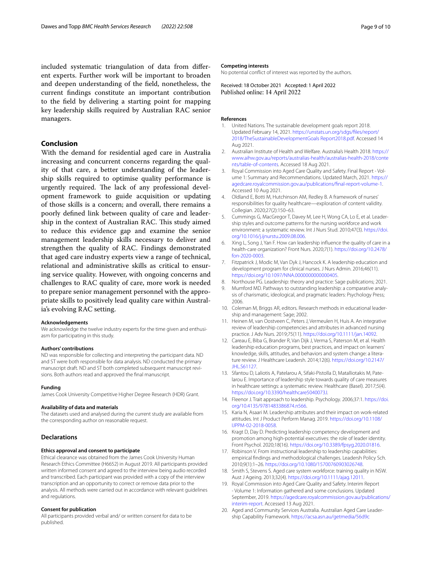included systematic triangulation of data from diferent experts. Further work will be important to broaden and deepen understanding of the feld, nonetheless, the current fndings constitute an important contribution to the feld by delivering a starting point for mapping key leadership skills required by Australian RAC senior managers.

# **Conclusion**

With the demand for residential aged care in Australia increasing and concurrent concerns regarding the quality of that care, a better understanding of the leadership skills required to optimise quality performance is urgently required. The lack of any professional development framework to guide acquisition or updating of those skills is a concern; and overall, there remains a poorly defned link between quality of care and leadership in the context of Australian RAC. This study aimed to reduce this evidence gap and examine the senior management leadership skills necessary to deliver and strengthen the quality of RAC. Findings demonstrated that aged care industry experts view a range of technical, relational and administrative skills as critical to ensuring service quality. However, with ongoing concerns and challenges to RAC quality of care, more work is needed to prepare senior management personnel with the appropriate skills to positively lead quality care within Australia's evolving RAC setting.

#### **Acknowledgements**

We acknowledge the twelve industry experts for the time given and enthusiasm for participating in this study.

#### **Authors' contributions**

ND was responsible for collecting and interpreting the participant data. ND and ST were both responsible for data analysis. ND conducted the primary manuscript draft. ND and ST both completed subsequent manuscript revisions. Both authors read and approved the fnal manuscript.

#### **Funding**

James Cook University Competitive Higher Degree Research (HDR) Grant.

#### **Availability of data and materials**

The datasets used and analysed during the current study are available from the corresponding author on reasonable request.

## **Declarations**

#### **Ethics approval and consent to participate**

Ethical clearance was obtained from the James Cook University Human Research Ethics Committee (H6652) in August 2019. All participants provided written informed consent and agreed to the interview being audio recorded and transcribed. Each participant was provided with a copy of the interview transcription and an opportunity to correct or remove data prior to the analysis. All methods were carried out in accordance with relevant guidelines and regulations.

### **Consent for publication**

All participants provided verbal and/ or written consent for data to be published.

#### **Competing interests**

No potential confict of interest was reported by the authors.

Received: 18 October 2021 Accepted: 1 April 2022<br>Published online: 14 April 2022

#### **References**

- <span id="page-8-0"></span>United Nations. The sustainable development goals report 2018. Updated February 14, 2021. [https://unstats.un.org/sdgs/fles/report/](https://unstats.un.org/sdgs/files/report/2018/TheSustainableDevelopmentGoals%20Report2018.pdf) [2018/TheSustainableDevelopmentGoals Report2018.pdf](https://unstats.un.org/sdgs/files/report/2018/TheSustainableDevelopmentGoals%20Report2018.pdf). Accessed 14 Aug 2021.
- <span id="page-8-1"></span>2. Australian Institute of Health and Welfare. Australia's Health 2018. [https://](https://www.aihw.gov.au/reports/australias-health/australias-health-2018/contents/table-of-contents) [www.aihw.gov.au/reports/australias-health/australias-health-2018/conte](https://www.aihw.gov.au/reports/australias-health/australias-health-2018/contents/table-of-contents) [nts/table-of-contents.](https://www.aihw.gov.au/reports/australias-health/australias-health-2018/contents/table-of-contents) Accessed 18 Aug 2021.
- <span id="page-8-2"></span>3. Royal Commission into Aged Care Quality and Safety. Final Report - Volume 1: Summary and Recommendations. Updated March, 2021. [https://](https://agedcare.royalcommission.gov.au/publications/final-report-volume-1) [agedcare.royalcommission.gov.au/publications/fnal-report-volume-1](https://agedcare.royalcommission.gov.au/publications/final-report-volume-1). Accessed 10 Aug 2021.
- <span id="page-8-3"></span>4. Oldland E, Botti M, Hutchinson AM, Redley B. A framework of nurses' responsibilities for quality healthcare—exploration of content validity. Collegian. 2020;27(2):150–63.
- <span id="page-8-4"></span>5. Cummings G, MacGregor T, Davey M, Lee H, Wong CA, Lo E, et al. Leadership styles and outcome patterns for the nursing workforce and work environment: a systematic review. Int J Nurs Stud. 2010;47(3). [https://doi.](https://doi.org/10.1016/j.ijnurstu.2009.08.006) [org/10.1016/j.ijnurstu.2009.08.006.](https://doi.org/10.1016/j.ijnurstu.2009.08.006)
- <span id="page-8-5"></span>6. Xing L, Song J, Yan F. How can leadership infuence the quality of care in a health-care organization? Front Nurs. 2020;7(1). [https://doi.org/10.2478/](https://doi.org/10.2478/fon-2020-0003) [fon-2020-0003](https://doi.org/10.2478/fon-2020-0003).
- <span id="page-8-6"></span>7. Fitzpatrick J, Modic M, Van Dyk J, Hancock K. A leadership education and development program for clinical nurses. J Nurs Admin. 2016;46(11). <https://doi.org/10.1097/NNA.0000000000000405>.
- <span id="page-8-7"></span>8. Northouse PG. Leadership: theory and practice: Sage publications; 2021.
- <span id="page-8-8"></span>Mumford MD. Pathways to outstanding leadership: a comparative analysis of charismatic, ideological, and pragmatic leaders: Psychology Press; 2006.
- <span id="page-8-9"></span>10. Coleman M, Briggs AR, editors. Research methods in educational leadership and management: Sage; 2002.
- <span id="page-8-10"></span>11. Heinen M, van Oostveen C, Peters J, Vermeulen H, Huis A. An integrative review of leadership competencies and attributes in advanced nursing practice. J Adv Nurs. 2019;75(11). [https://doi.org/10.1111/jan.14092.](https://doi.org/10.1111/jan.14092)
- <span id="page-8-11"></span>12. Careau E, Biba G, Brander R, Van Dijk J, Verma S, Paterson M, et al. Health leadership education programs, best practices, and impact on learners' knowledge, skills, attitudes, and behaviors and system change: a literature review. J Healthcare Leadersh. 2014;12(6). [https://doi.org/10.2147/](https://doi.org/10.2147/JHL.S61127) [JHL.S61127](https://doi.org/10.2147/JHL.S61127).
- <span id="page-8-12"></span>13. Sfantou D, Laliotis A, Patelarou A, Sifaki-Pistolla D, Matalliotakis M, Patelarou E. Importance of leadership style towards quality of care measures in healthcare settings: a systematic review. Healthcare (Basel). 2017;5(4). <https://doi.org/10.3390/healthcare5040073J>.
- <span id="page-8-13"></span>14. Fleenor J. Trait approach to leadership. Psychology. 2006;37:1. [https://doi.](https://doi.org/10.4135/9781483386874.n566) [org/10.4135/9781483386874.n566](https://doi.org/10.4135/9781483386874.n566).
- <span id="page-8-14"></span>15. Karia N, Asaari M. Leadership attributes and their impact on work-related attitudes. Int J Product Perform Manag. 2019. [https://doi.org/10.1108/](https://doi.org/10.1108/IJPPM-02-2018-0058) [IJPPM-02-2018-0058.](https://doi.org/10.1108/IJPPM-02-2018-0058)
- <span id="page-8-15"></span>16. Kragt D, Day D. Predicting leadership competency development and promotion among high-potential executives: the role of leader identity. Front Psychol. 2020;18(16). [https://doi.org/10.3389/fpsyg.2020.01816.](https://doi.org/10.3389/fpsyg.2020.01816)
- <span id="page-8-16"></span>17. Robinson V. From instructional leadership to leadership capabilities: empirical fndings and methodological challenges. Leadersh Policy Sch. 2010;9(1):1–26. <https://doi.org/10.1080/15700760903026748>.
- <span id="page-8-17"></span>18. Smith S, Stevens S. Aged care system workforce: training quality in NSW. Aust J Ageing. 2013;32(4).<https://doi.org/10.1111/ajag.12011>.
- <span id="page-8-18"></span>19. Royal Commission into Aged Care Quality and Safety. Interim Report - Volume 1: Information gathered and some conclusions. Updated September, 2019. [https://agedcare.royalcommission.gov.au/publications/](https://agedcare.royalcommission.gov.au/publications/interim-report) [interim-report](https://agedcare.royalcommission.gov.au/publications/interim-report). Accessed 13 Aug 2021.
- <span id="page-8-19"></span>20. Aged and Community Services Australia. Australian Aged Care Leadership Capability Framework. [https://acsa.asn.au/getmedia/56d9c](https://acsa.asn.au/getmedia/56d9c659-72c7-4ac4-a26c-a33f8530cae6/Aged-Care-Leadership-Capability-Framework-2014)